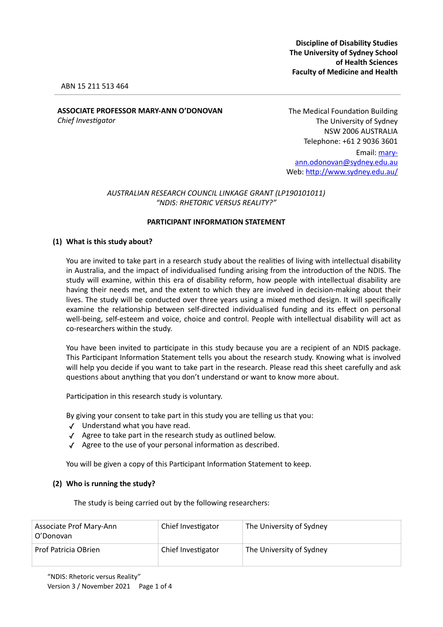**Discipline of Disability Studies The University of Sydney School of Health Sciences Faculty of Medicine and Health**

#### ABN 15 211 513 464

# **ASSOCIATE PROFESSOR MARY-ANN O'DONOVAN**

*Chief Investigator* 

The Medical Foundation Building The University of Sydney NSW 2006 AUSTRALIA Telephone: +61 2 9036 3601 Email: mary[ann.odonovan@sydney.edu.au](mailto:mary-ann.odonovan@sydney.edu.au) Web: <http://www.sydney.edu.au/>

## *AUSTRALIAN RESEARCH COUNCIL LINKAGE GRANT (LP190101011) "NDIS: RHETORIC VERSUS REALITY?"*

#### **PARTICIPANT INFORMATION STATEMENT**

#### **(1) What is this study about?**

You are invited to take part in a research study about the realities of living with intellectual disability in Australia, and the impact of individualised funding arising from the introduction of the NDIS. The study will examine, within this era of disability reform, how people with intellectual disability are having their needs met, and the extent to which they are involved in decision-making about their lives. The study will be conducted over three years using a mixed method design. It will specifically examine the relationship between self-directed individualised funding and its effect on personal well-being, self-esteem and voice, choice and control. People with intellectual disability will act as co-researchers within the study.

You have been invited to participate in this study because you are a recipient of an NDIS package. This Participant Information Statement tells you about the research study. Knowing what is involved will help you decide if you want to take part in the research. Please read this sheet carefully and ask questions about anything that you don't understand or want to know more about.

Participation in this research study is voluntary.

By giving your consent to take part in this study you are telling us that you:

- ✓ Understand what you have read.
- ✓ Agree to take part in the research study as outlined below.
- ✓ Agree to the use of your personal information as described.

You will be given a copy of this Participant Information Statement to keep.

#### **(2) Who is running the study?**

The study is being carried out by the following researchers:

| Associate Prof Mary-Ann<br>O'Donovan | Chief Investigator | The University of Sydney |
|--------------------------------------|--------------------|--------------------------|
| Prof Patricia OBrien                 | Chief Investigator | The University of Sydney |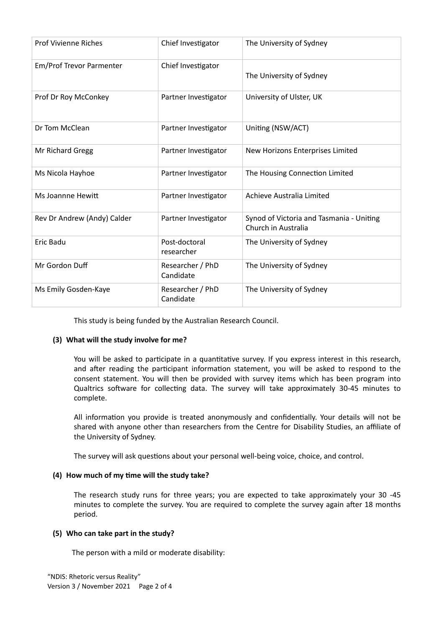| <b>Prof Vivienne Riches</b> | Chief Investigator            | The University of Sydney                                        |
|-----------------------------|-------------------------------|-----------------------------------------------------------------|
| Em/Prof Trevor Parmenter    | Chief Investigator            | The University of Sydney                                        |
| Prof Dr Roy McConkey        | Partner Investigator          | University of Ulster, UK                                        |
| Dr Tom McClean              | Partner Investigator          | Uniting (NSW/ACT)                                               |
| Mr Richard Gregg            | Partner Investigator          | New Horizons Enterprises Limited                                |
| Ms Nicola Hayhoe            | Partner Investigator          | The Housing Connection Limited                                  |
| Ms Joannne Hewitt           | Partner Investigator          | Achieve Australia Limited                                       |
| Rev Dr Andrew (Andy) Calder | Partner Investigator          | Synod of Victoria and Tasmania - Uniting<br>Church in Australia |
| <b>Eric Badu</b>            | Post-doctoral<br>researcher   | The University of Sydney                                        |
| Mr Gordon Duff              | Researcher / PhD<br>Candidate | The University of Sydney                                        |
| Ms Emily Gosden-Kaye        | Researcher / PhD<br>Candidate | The University of Sydney                                        |

This study is being funded by the Australian Research Council.

# **(3) What will the study involve for me?**

You will be asked to participate in a quantitative survey. If you express interest in this research, and after reading the participant information statement, you will be asked to respond to the consent statement. You will then be provided with survey items which has been program into Qualtrics software for collecting data. The survey will take approximately 30-45 minutes to complete.

All information you provide is treated anonymously and confidentially. Your details will not be shared with anyone other than researchers from the Centre for Disability Studies, an affiliate of the University of Sydney.

The survey will ask questions about your personal well-being voice, choice, and control.

## **(4) How much of my time will the study take?**

The research study runs for three years; you are expected to take approximately your 30 -45 minutes to complete the survey. You are required to complete the survey again after 18 months period.

# **(5) Who can take part in the study?**

The person with a mild or moderate disability: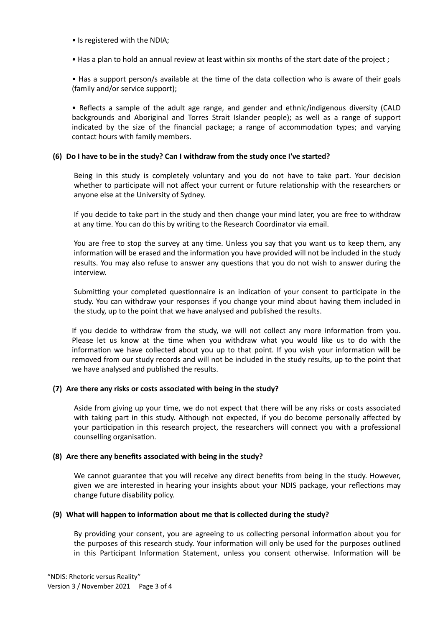- Is registered with the NDIA;
- Has a plan to hold an annual review at least within six months of the start date of the project ;

• Has a support person/s available at the time of the data collection who is aware of their goals (family and/or service support);

• Reflects a sample of the adult age range, and gender and ethnic/indigenous diversity (CALD backgrounds and Aboriginal and Torres Strait Islander people); as well as a range of support indicated by the size of the financial package; a range of accommodation types; and varying contact hours with family members.

#### **(6) Do I have to be in the study? Can I withdraw from the study once I've started?**

Being in this study is completely voluntary and you do not have to take part. Your decision whether to participate will not affect your current or future relationship with the researchers or anyone else at the University of Sydney.

If you decide to take part in the study and then change your mind later, you are free to withdraw at any time. You can do this by writing to the Research Coordinator via email.

You are free to stop the survey at any time. Unless you say that you want us to keep them, any information will be erased and the information you have provided will not be included in the study results. You may also refuse to answer any questions that you do not wish to answer during the interview.

Submitting your completed questionnaire is an indication of your consent to participate in the study. You can withdraw your responses if you change your mind about having them included in the study, up to the point that we have analysed and published the results.

If you decide to withdraw from the study, we will not collect any more information from you. Please let us know at the time when you withdraw what you would like us to do with the information we have collected about you up to that point. If you wish your information will be removed from our study records and will not be included in the study results, up to the point that we have analysed and published the results.

## **(7) Are there any risks or costs associated with being in the study?**

Aside from giving up your time, we do not expect that there will be any risks or costs associated with taking part in this study. Although not expected, if you do become personally affected by your participation in this research project, the researchers will connect you with a professional counselling organisation.

## **(8) Are there any benefits associated with being in the study?**

We cannot guarantee that you will receive any direct benefits from being in the study. However, given we are interested in hearing your insights about your NDIS package, your reflections may change future disability policy.

## **(9) What will happen to information about me that is collected during the study?**

By providing your consent, you are agreeing to us collecting personal information about you for the purposes of this research study. Your information will only be used for the purposes outlined in this Participant Information Statement, unless you consent otherwise. Information will be